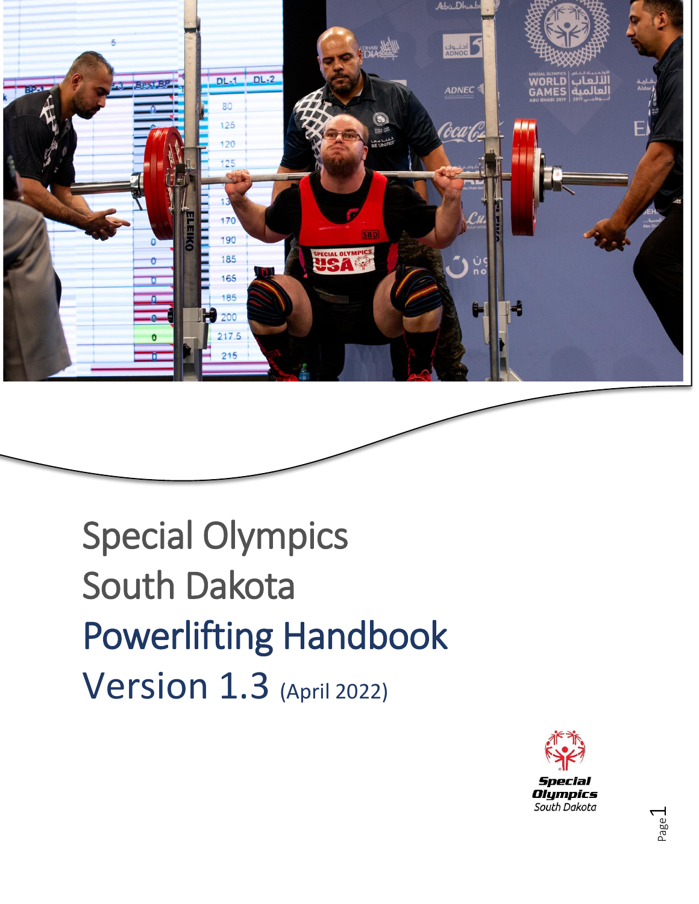

Special Olympics South Dakota Powerlifting Handbook Version 1.3 (April 2022)

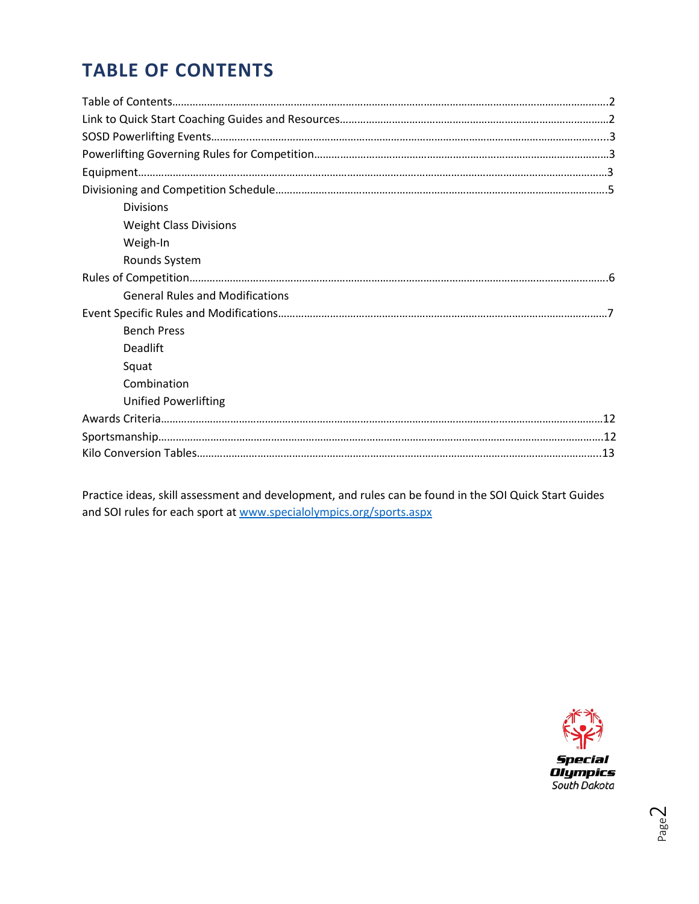# **TABLE OF CONTENTS**

| <b>Divisions</b>                       |  |
|----------------------------------------|--|
| <b>Weight Class Divisions</b>          |  |
| Weigh-In                               |  |
| Rounds System                          |  |
|                                        |  |
| <b>General Rules and Modifications</b> |  |
|                                        |  |
| <b>Bench Press</b>                     |  |
| <b>Deadlift</b>                        |  |
| Squat                                  |  |
| Combination                            |  |
| Unified Powerlifting                   |  |
|                                        |  |
|                                        |  |
|                                        |  |

Practice ideas, skill assessment and development, and rules can be found in the SOI Quick Start Guides and SOI rules for each sport at [www.specialolympics.org/sports.aspx](http://www.specialolympics.org/sports.aspx)

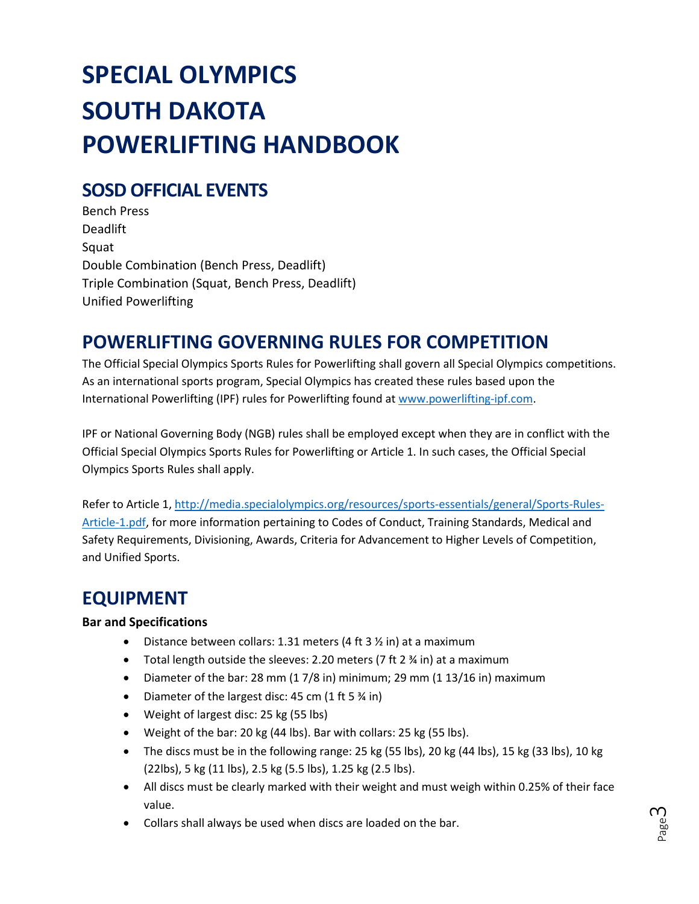# **SPECIAL OLYMPICS SOUTH DAKOTA POWERLIFTING HANDBOOK**

# **SOSD OFFICIAL EVENTS**

Bench Press Deadlift Squat Double Combination (Bench Press, Deadlift) Triple Combination (Squat, Bench Press, Deadlift) Unified Powerlifting

# **POWERLIFTING GOVERNING RULES FOR COMPETITION**

The Official Special Olympics Sports Rules for Powerlifting shall govern all Special Olympics competitions. As an international sports program, Special Olympics has created these rules based upon the International Powerlifting (IPF) rules for Powerlifting found at [www.powerlifting-ipf.com.](http://www.powerlifting-ipf.com/)

IPF or National Governing Body (NGB) rules shall be employed except when they are in conflict with the Official Special Olympics Sports Rules for Powerlifting or Article 1. In such cases, the Official Special Olympics Sports Rules shall apply.

Refer to Article 1, [http://media.specialolympics.org/resources/sports-essentials/general/Sports-Rules-](http://media.specialolympics.org/resources/sports-essentials/general/Sports-Rules-Article-1.pdf)[Article-1.pdf,](http://media.specialolympics.org/resources/sports-essentials/general/Sports-Rules-Article-1.pdf) for more information pertaining to Codes of Conduct, Training Standards, Medical and Safety Requirements, Divisioning, Awards, Criteria for Advancement to Higher Levels of Competition, and Unified Sports.

# **EQUIPMENT**

# **Bar and Specifications**

- Distance between collars: 1.31 meters (4 ft 3  $\frac{1}{2}$  in) at a maximum
- Total length outside the sleeves: 2.20 meters (7 ft 2 ¾ in) at a maximum
- Diameter of the bar: 28 mm (1 7/8 in) minimum; 29 mm (1 13/16 in) maximum
- Diameter of the largest disc: 45 cm (1 ft 5 % in)
- Weight of largest disc: 25 kg (55 lbs)
- Weight of the bar: 20 kg (44 lbs). Bar with collars: 25 kg (55 lbs).
- The discs must be in the following range: 25 kg (55 lbs), 20 kg (44 lbs), 15 kg (33 lbs), 10 kg (22lbs), 5 kg (11 lbs), 2.5 kg (5.5 lbs), 1.25 kg (2.5 lbs).
- All discs must be clearly marked with their weight and must weigh within 0.25% of their face value.
- Collars shall always be used when discs are loaded on the bar.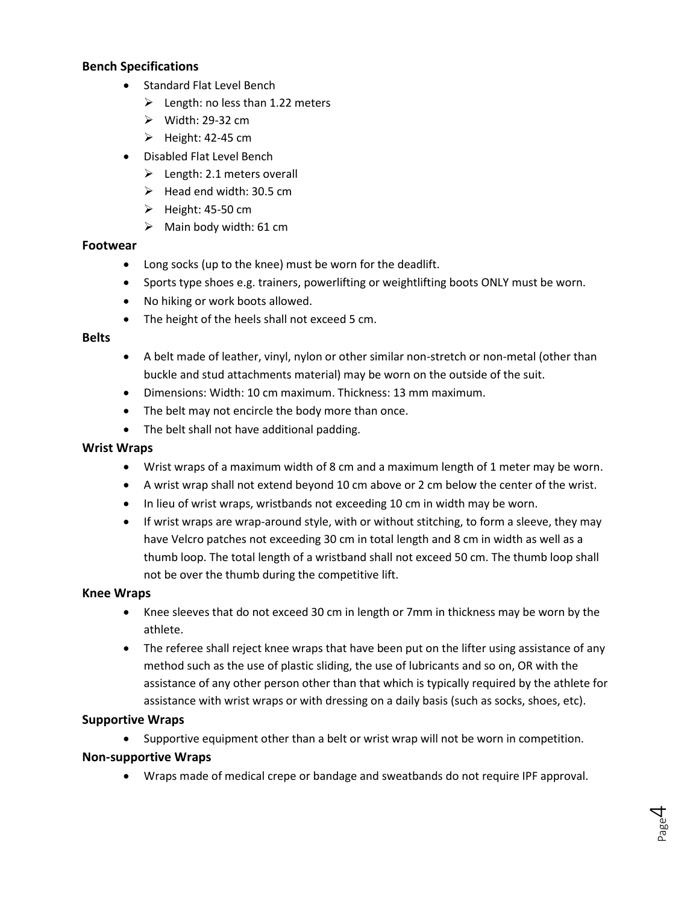### **Bench Specifications**

- Standard Flat Level Bench
	- $\geq$  Length: no less than 1.22 meters
	- $\triangleright$  Width: 29-32 cm
	- $\blacktriangleright$  Height: 42-45 cm
- Disabled Flat Level Bench
	- $\blacktriangleright$  Length: 2.1 meters overall
	- $\blacktriangleright$  Head end width: 30.5 cm
	- $\blacktriangleright$  Height: 45-50 cm
	- $\triangleright$  Main body width: 61 cm

#### **Footwear**

- Long socks (up to the knee) must be worn for the deadlift.
- Sports type shoes e.g. trainers, powerlifting or weightlifting boots ONLY must be worn.
- No hiking or work boots allowed.
- The height of the heels shall not exceed 5 cm.

#### **Belts**

- A belt made of leather, vinyl, nylon or other similar non-stretch or non-metal (other than buckle and stud attachments material) may be worn on the outside of the suit.
- Dimensions: Width: 10 cm maximum. Thickness: 13 mm maximum.
- The belt may not encircle the body more than once.
- The belt shall not have additional padding.

#### **Wrist Wraps**

- Wrist wraps of a maximum width of 8 cm and a maximum length of 1 meter may be worn.
- A wrist wrap shall not extend beyond 10 cm above or 2 cm below the center of the wrist.
- In lieu of wrist wraps, wristbands not exceeding 10 cm in width may be worn.
- If wrist wraps are wrap-around style, with or without stitching, to form a sleeve, they may have Velcro patches not exceeding 30 cm in total length and 8 cm in width as well as a thumb loop. The total length of a wristband shall not exceed 50 cm. The thumb loop shall not be over the thumb during the competitive lift.

#### **Knee Wraps**

- Knee sleeves that do not exceed 30 cm in length or 7mm in thickness may be worn by the athlete.
- The referee shall reject knee wraps that have been put on the lifter using assistance of any method such as the use of plastic sliding, the use of lubricants and so on, OR with the assistance of any other person other than that which is typically required by the athlete for assistance with wrist wraps or with dressing on a daily basis (such as socks, shoes, etc).

#### **Supportive Wraps**

• Supportive equipment other than a belt or wrist wrap will not be worn in competition.

#### **Non-supportive Wraps**

• Wraps made of medical crepe or bandage and sweatbands do not require IPF approval.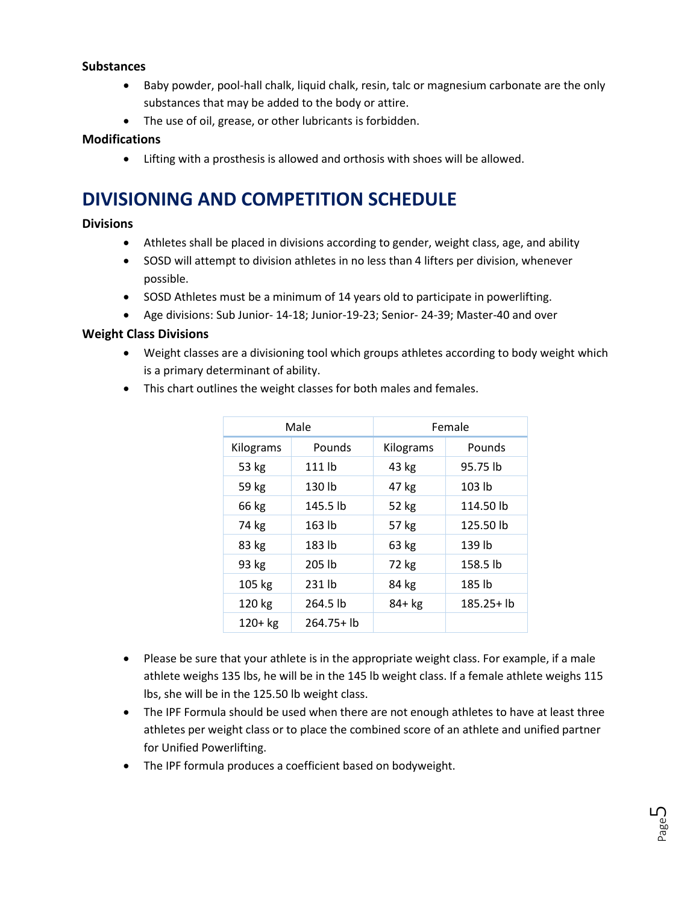### **Substances**

- Baby powder, pool-hall chalk, liquid chalk, resin, talc or magnesium carbonate are the only substances that may be added to the body or attire.
- The use of oil, grease, or other lubricants is forbidden.

### **Modifications**

• Lifting with a prosthesis is allowed and orthosis with shoes will be allowed.

# **DIVISIONING AND COMPETITION SCHEDULE**

### **Divisions**

- Athletes shall be placed in divisions according to gender, weight class, age, and ability
- SOSD will attempt to division athletes in no less than 4 lifters per division, whenever possible.
- SOSD Athletes must be a minimum of 14 years old to participate in powerlifting.
- Age divisions: Sub Junior- 14-18; Junior-19-23; Senior- 24-39; Master-40 and over

### **Weight Class Divisions**

- Weight classes are a divisioning tool which groups athletes according to body weight which is a primary determinant of ability.
- This chart outlines the weight classes for both males and females.

|           | Male          | Female    |               |  |
|-----------|---------------|-----------|---------------|--|
| Kilograms | Pounds        | Kilograms | Pounds        |  |
| 53 kg     | 111 lb        | 43 kg     | 95.75 lb      |  |
| 59 kg     | 130 lb        | 47 kg     | 103 lb        |  |
| 66 kg     | 145.5 lb      | 52 kg     | 114.50 lb     |  |
| 74 kg     | 163 lb        | 57 kg     | 125.50 lb     |  |
| 83 kg     | 183 lb        | 63 kg     | 139 lb        |  |
| 93 kg     | 205 lb        | 72 kg     | 158.5 lb      |  |
| 105 kg    | 231 lb        | 84 kg     | 185 lb        |  |
| 120 kg    | 264.5 lb      | 84+ kg    | $185.25 + lb$ |  |
| $120+kg$  | $264.75 + lb$ |           |               |  |

- Please be sure that your athlete is in the appropriate weight class. For example, if a male athlete weighs 135 lbs, he will be in the 145 lb weight class. If a female athlete weighs 115 lbs, she will be in the 125.50 lb weight class.
- The IPF Formula should be used when there are not enough athletes to have at least three athletes per weight class or to place the combined score of an athlete and unified partner for Unified Powerlifting.
- The IPF formula produces a coefficient based on bodyweight.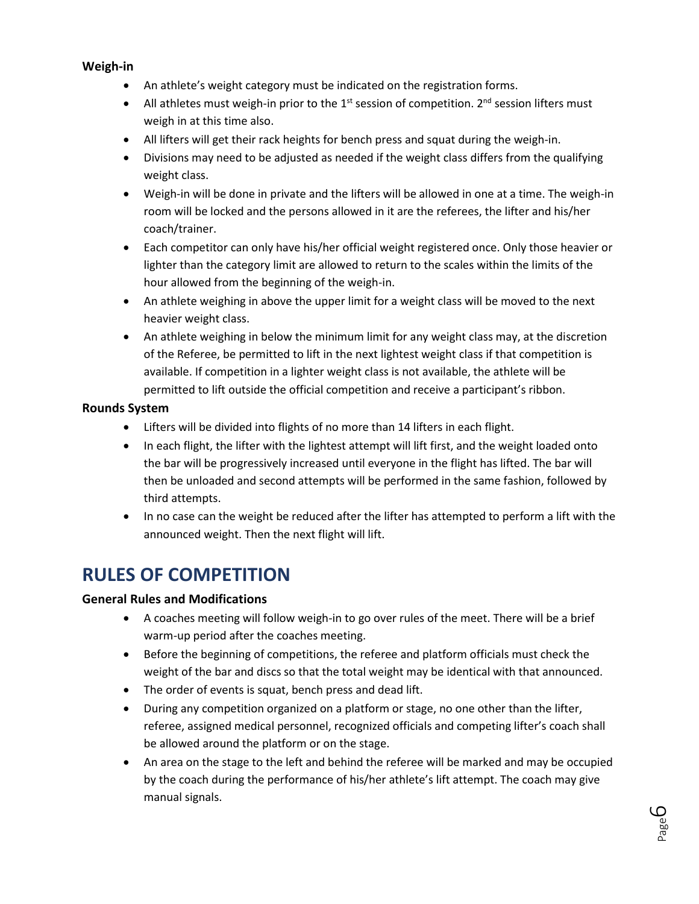### **Weigh-in**

- An athlete's weight category must be indicated on the registration forms.
- All athletes must weigh-in prior to the  $1<sup>st</sup>$  session of competition.  $2<sup>nd</sup>$  session lifters must weigh in at this time also.
- All lifters will get their rack heights for bench press and squat during the weigh-in.
- Divisions may need to be adjusted as needed if the weight class differs from the qualifying weight class.
- Weigh-in will be done in private and the lifters will be allowed in one at a time. The weigh-in room will be locked and the persons allowed in it are the referees, the lifter and his/her coach/trainer.
- Each competitor can only have his/her official weight registered once. Only those heavier or lighter than the category limit are allowed to return to the scales within the limits of the hour allowed from the beginning of the weigh-in.
- An athlete weighing in above the upper limit for a weight class will be moved to the next heavier weight class.
- An athlete weighing in below the minimum limit for any weight class may, at the discretion of the Referee, be permitted to lift in the next lightest weight class if that competition is available. If competition in a lighter weight class is not available, the athlete will be permitted to lift outside the official competition and receive a participant's ribbon.

### **Rounds System**

- Lifters will be divided into flights of no more than 14 lifters in each flight.
- In each flight, the lifter with the lightest attempt will lift first, and the weight loaded onto the bar will be progressively increased until everyone in the flight has lifted. The bar will then be unloaded and second attempts will be performed in the same fashion, followed by third attempts.
- In no case can the weight be reduced after the lifter has attempted to perform a lift with the announced weight. Then the next flight will lift.

# **RULES OF COMPETITION**

# **General Rules and Modifications**

- A coaches meeting will follow weigh-in to go over rules of the meet. There will be a brief warm-up period after the coaches meeting.
- Before the beginning of competitions, the referee and platform officials must check the weight of the bar and discs so that the total weight may be identical with that announced.
- The order of events is squat, bench press and dead lift.
- During any competition organized on a platform or stage, no one other than the lifter, referee, assigned medical personnel, recognized officials and competing lifter's coach shall be allowed around the platform or on the stage.
- An area on the stage to the left and behind the referee will be marked and may be occupied by the coach during the performance of his/her athlete's lift attempt. The coach may give manual signals.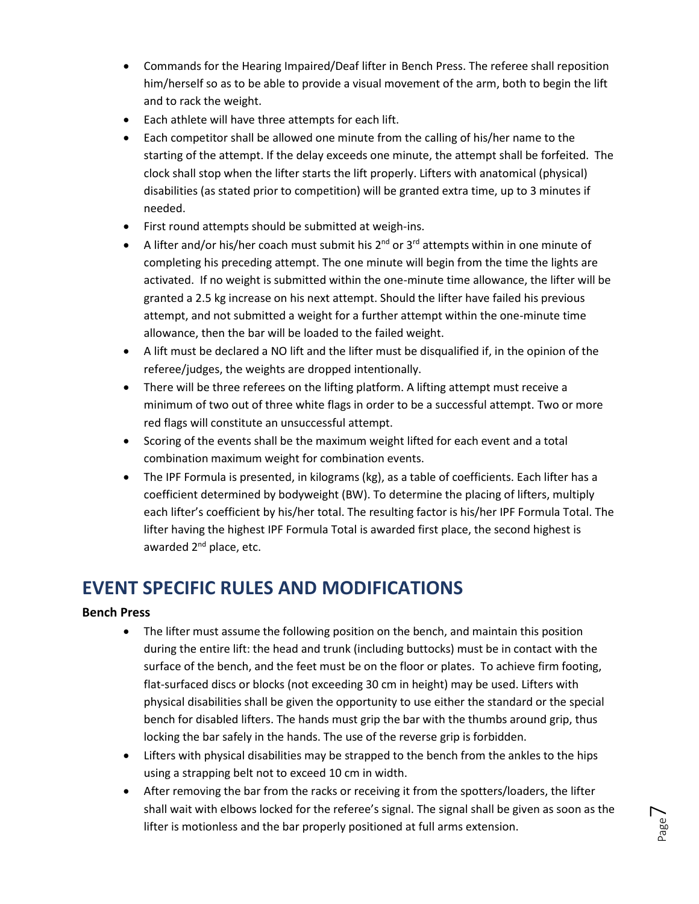- Commands for the Hearing Impaired/Deaf lifter in Bench Press. The referee shall reposition him/herself so as to be able to provide a visual movement of the arm, both to begin the lift and to rack the weight.
- Each athlete will have three attempts for each lift.
- Each competitor shall be allowed one minute from the calling of his/her name to the starting of the attempt. If the delay exceeds one minute, the attempt shall be forfeited. The clock shall stop when the lifter starts the lift properly. Lifters with anatomical (physical) disabilities (as stated prior to competition) will be granted extra time, up to 3 minutes if needed.
- First round attempts should be submitted at weigh-ins.
- A lifter and/or his/her coach must submit his  $2^{nd}$  or  $3^{rd}$  attempts within in one minute of completing his preceding attempt. The one minute will begin from the time the lights are activated. If no weight is submitted within the one-minute time allowance, the lifter will be granted a 2.5 kg increase on his next attempt. Should the lifter have failed his previous attempt, and not submitted a weight for a further attempt within the one-minute time allowance, then the bar will be loaded to the failed weight.
- A lift must be declared a NO lift and the lifter must be disqualified if, in the opinion of the referee/judges, the weights are dropped intentionally.
- There will be three referees on the lifting platform. A lifting attempt must receive a minimum of two out of three white flags in order to be a successful attempt. Two or more red flags will constitute an unsuccessful attempt.
- Scoring of the events shall be the maximum weight lifted for each event and a total combination maximum weight for combination events.
- The IPF Formula is presented, in kilograms (kg), as a table of coefficients. Each lifter has a coefficient determined by bodyweight (BW). To determine the placing of lifters, multiply each lifter's coefficient by his/her total. The resulting factor is his/her IPF Formula Total. The lifter having the highest IPF Formula Total is awarded first place, the second highest is awarded 2<sup>nd</sup> place, etc.

# **EVENT SPECIFIC RULES AND MODIFICATIONS**

# **Bench Press**

- The lifter must assume the following position on the bench, and maintain this position during the entire lift: the head and trunk (including buttocks) must be in contact with the surface of the bench, and the feet must be on the floor or plates. To achieve firm footing, flat-surfaced discs or blocks (not exceeding 30 cm in height) may be used. Lifters with physical disabilities shall be given the opportunity to use either the standard or the special bench for disabled lifters. The hands must grip the bar with the thumbs around grip, thus locking the bar safely in the hands. The use of the reverse grip is forbidden.
- Lifters with physical disabilities may be strapped to the bench from the ankles to the hips using a strapping belt not to exceed 10 cm in width.
- After removing the bar from the racks or receiving it from the spotters/loaders, the lifter shall wait with elbows locked for the referee's signal. The signal shall be given as soon as the lifter is motionless and the bar properly positioned at full arms extension.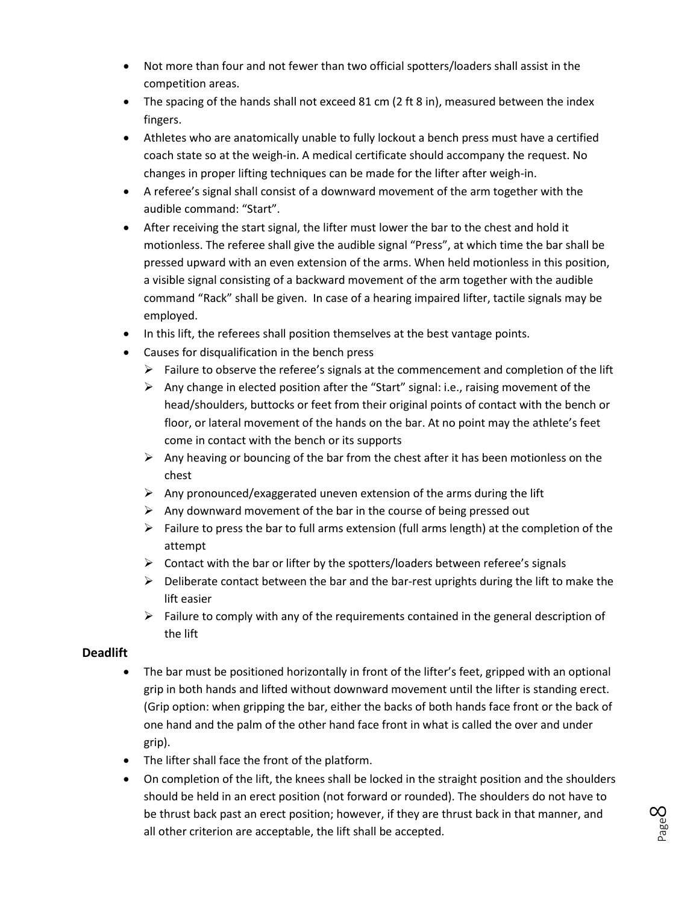- Not more than four and not fewer than two official spotters/loaders shall assist in the competition areas.
- The spacing of the hands shall not exceed 81 cm (2 ft 8 in), measured between the index fingers.
- Athletes who are anatomically unable to fully lockout a bench press must have a certified coach state so at the weigh-in. A medical certificate should accompany the request. No changes in proper lifting techniques can be made for the lifter after weigh-in.
- A referee's signal shall consist of a downward movement of the arm together with the audible command: "Start".
- After receiving the start signal, the lifter must lower the bar to the chest and hold it motionless. The referee shall give the audible signal "Press", at which time the bar shall be pressed upward with an even extension of the arms. When held motionless in this position, a visible signal consisting of a backward movement of the arm together with the audible command "Rack" shall be given. In case of a hearing impaired lifter, tactile signals may be employed.
- In this lift, the referees shall position themselves at the best vantage points.
- Causes for disqualification in the bench press
	- $\triangleright$  Failure to observe the referee's signals at the commencement and completion of the lift
	- $\triangleright$  Any change in elected position after the "Start" signal: i.e., raising movement of the head/shoulders, buttocks or feet from their original points of contact with the bench or floor, or lateral movement of the hands on the bar. At no point may the athlete's feet come in contact with the bench or its supports
	- $\triangleright$  Any heaving or bouncing of the bar from the chest after it has been motionless on the chest
	- $\triangleright$  Any pronounced/exaggerated uneven extension of the arms during the lift
	- $\triangleright$  Any downward movement of the bar in the course of being pressed out
	- $\triangleright$  Failure to press the bar to full arms extension (full arms length) at the completion of the attempt
	- $\triangleright$  Contact with the bar or lifter by the spotters/loaders between referee's signals
	- $\triangleright$  Deliberate contact between the bar and the bar-rest uprights during the lift to make the lift easier
	- $\triangleright$  Failure to comply with any of the requirements contained in the general description of the lift

### **Deadlift**

- The bar must be positioned horizontally in front of the lifter's feet, gripped with an optional grip in both hands and lifted without downward movement until the lifter is standing erect. (Grip option: when gripping the bar, either the backs of both hands face front or the back of one hand and the palm of the other hand face front in what is called the over and under grip).
- The lifter shall face the front of the platform.
- On completion of the lift, the knees shall be locked in the straight position and the shoulders should be held in an erect position (not forward or rounded). The shoulders do not have to be thrust back past an erect position; however, if they are thrust back in that manner, and all other criterion are acceptable, the lift shall be accepted.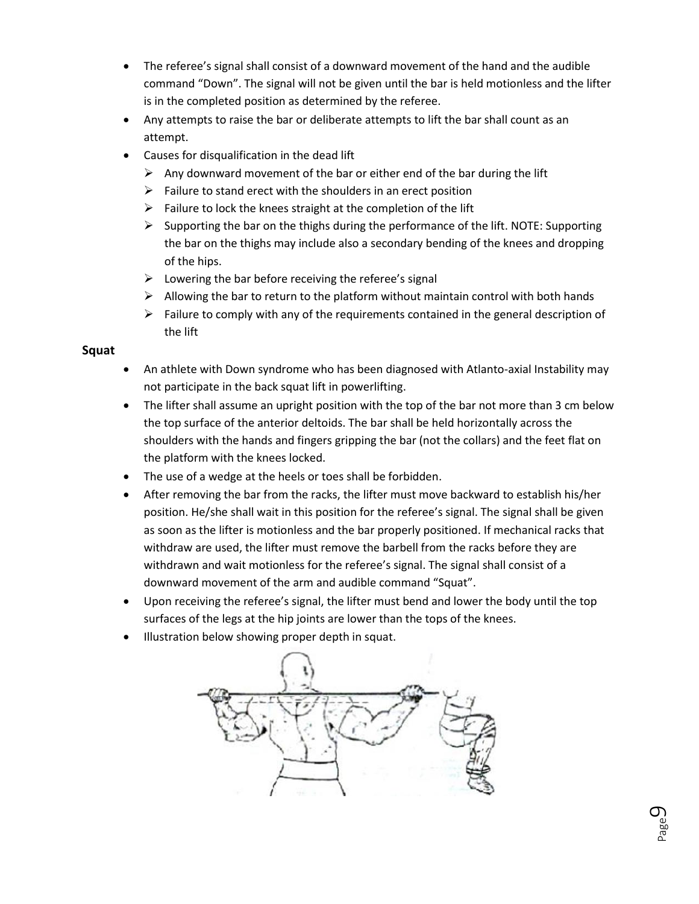- The referee's signal shall consist of a downward movement of the hand and the audible command "Down". The signal will not be given until the bar is held motionless and the lifter is in the completed position as determined by the referee.
- Any attempts to raise the bar or deliberate attempts to lift the bar shall count as an attempt.
- Causes for disqualification in the dead lift
	- $\triangleright$  Any downward movement of the bar or either end of the bar during the lift
	- $\triangleright$  Failure to stand erect with the shoulders in an erect position
	- $\triangleright$  Failure to lock the knees straight at the completion of the lift
	- $\triangleright$  Supporting the bar on the thighs during the performance of the lift. NOTE: Supporting the bar on the thighs may include also a secondary bending of the knees and dropping of the hips.
	- $\triangleright$  Lowering the bar before receiving the referee's signal
	- $\triangleright$  Allowing the bar to return to the platform without maintain control with both hands
	- $\triangleright$  Failure to comply with any of the requirements contained in the general description of the lift

### **Squat**

- An athlete with Down syndrome who has been diagnosed with Atlanto-axial Instability may not participate in the back squat lift in powerlifting.
- The lifter shall assume an upright position with the top of the bar not more than 3 cm below the top surface of the anterior deltoids. The bar shall be held horizontally across the shoulders with the hands and fingers gripping the bar (not the collars) and the feet flat on the platform with the knees locked.
- The use of a wedge at the heels or toes shall be forbidden.
- After removing the bar from the racks, the lifter must move backward to establish his/her position. He/she shall wait in this position for the referee's signal. The signal shall be given as soon as the lifter is motionless and the bar properly positioned. If mechanical racks that withdraw are used, the lifter must remove the barbell from the racks before they are withdrawn and wait motionless for the referee's signal. The signal shall consist of a downward movement of the arm and audible command "Squat".
- Upon receiving the referee's signal, the lifter must bend and lower the body until the top surfaces of the legs at the hip joints are lower than the tops of the knees.
- Illustration below showing proper depth in squat.

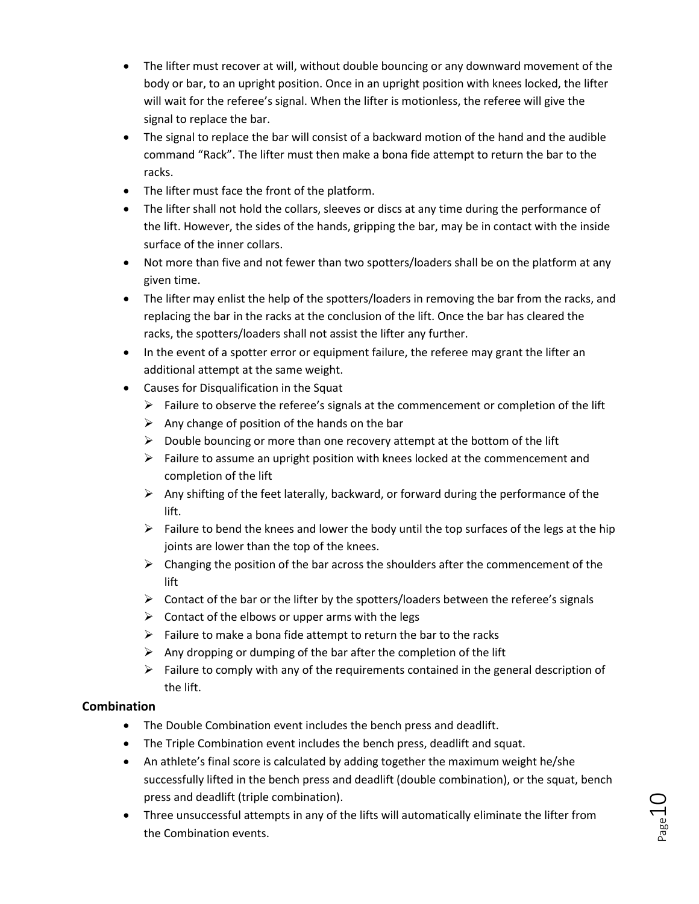- The lifter must recover at will, without double bouncing or any downward movement of the body or bar, to an upright position. Once in an upright position with knees locked, the lifter will wait for the referee's signal. When the lifter is motionless, the referee will give the signal to replace the bar.
- The signal to replace the bar will consist of a backward motion of the hand and the audible command "Rack". The lifter must then make a bona fide attempt to return the bar to the racks.
- The lifter must face the front of the platform.
- The lifter shall not hold the collars, sleeves or discs at any time during the performance of the lift. However, the sides of the hands, gripping the bar, may be in contact with the inside surface of the inner collars.
- Not more than five and not fewer than two spotters/loaders shall be on the platform at any given time.
- The lifter may enlist the help of the spotters/loaders in removing the bar from the racks, and replacing the bar in the racks at the conclusion of the lift. Once the bar has cleared the racks, the spotters/loaders shall not assist the lifter any further.
- In the event of a spotter error or equipment failure, the referee may grant the lifter an additional attempt at the same weight.
- Causes for Disqualification in the Squat
	- $\triangleright$  Failure to observe the referee's signals at the commencement or completion of the lift
	- $\triangleright$  Any change of position of the hands on the bar
	- $\triangleright$  Double bouncing or more than one recovery attempt at the bottom of the lift
	- $\triangleright$  Failure to assume an upright position with knees locked at the commencement and completion of the lift
	- $\triangleright$  Any shifting of the feet laterally, backward, or forward during the performance of the lift.
	- $\triangleright$  Failure to bend the knees and lower the body until the top surfaces of the legs at the hip joints are lower than the top of the knees.
	- $\triangleright$  Changing the position of the bar across the shoulders after the commencement of the lift
	- $\triangleright$  Contact of the bar or the lifter by the spotters/loaders between the referee's signals
	- $\triangleright$  Contact of the elbows or upper arms with the legs
	- $\triangleright$  Failure to make a bona fide attempt to return the bar to the racks
	- $\triangleright$  Any dropping or dumping of the bar after the completion of the lift
	- $\triangleright$  Failure to comply with any of the requirements contained in the general description of the lift.

# **Combination**

- The Double Combination event includes the bench press and deadlift.
- The Triple Combination event includes the bench press, deadlift and squat.
- An athlete's final score is calculated by adding together the maximum weight he/she successfully lifted in the bench press and deadlift (double combination), or the squat, bench press and deadlift (triple combination).
- Three unsuccessful attempts in any of the lifts will automatically eliminate the lifter from the Combination events.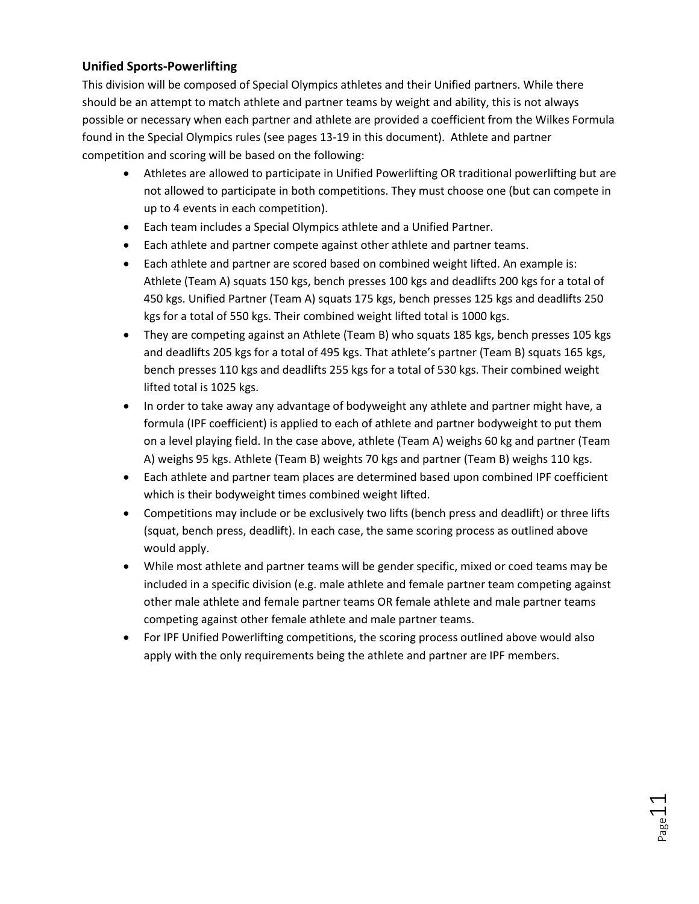# **Unified Sports-Powerlifting**

This division will be composed of Special Olympics athletes and their Unified partners. While there should be an attempt to match athlete and partner teams by weight and ability, this is not always possible or necessary when each partner and athlete are provided a coefficient from the Wilkes Formula found in the Special Olympics rules (see pages 13-19 in this document). Athlete and partner competition and scoring will be based on the following:

- Athletes are allowed to participate in Unified Powerlifting OR traditional powerlifting but are not allowed to participate in both competitions. They must choose one (but can compete in up to 4 events in each competition).
- Each team includes a Special Olympics athlete and a Unified Partner.
- Each athlete and partner compete against other athlete and partner teams.
- Each athlete and partner are scored based on combined weight lifted. An example is: Athlete (Team A) squats 150 kgs, bench presses 100 kgs and deadlifts 200 kgs for a total of 450 kgs. Unified Partner (Team A) squats 175 kgs, bench presses 125 kgs and deadlifts 250 kgs for a total of 550 kgs. Their combined weight lifted total is 1000 kgs.
- They are competing against an Athlete (Team B) who squats 185 kgs, bench presses 105 kgs and deadlifts 205 kgs for a total of 495 kgs. That athlete's partner (Team B) squats 165 kgs, bench presses 110 kgs and deadlifts 255 kgs for a total of 530 kgs. Their combined weight lifted total is 1025 kgs.
- In order to take away any advantage of bodyweight any athlete and partner might have, a formula (IPF coefficient) is applied to each of athlete and partner bodyweight to put them on a level playing field. In the case above, athlete (Team A) weighs 60 kg and partner (Team A) weighs 95 kgs. Athlete (Team B) weights 70 kgs and partner (Team B) weighs 110 kgs.
- Each athlete and partner team places are determined based upon combined IPF coefficient which is their bodyweight times combined weight lifted.
- Competitions may include or be exclusively two lifts (bench press and deadlift) or three lifts (squat, bench press, deadlift). In each case, the same scoring process as outlined above would apply.
- While most athlete and partner teams will be gender specific, mixed or coed teams may be included in a specific division (e.g. male athlete and female partner team competing against other male athlete and female partner teams OR female athlete and male partner teams competing against other female athlete and male partner teams.
- For IPF Unified Powerlifting competitions, the scoring process outlined above would also apply with the only requirements being the athlete and partner are IPF members.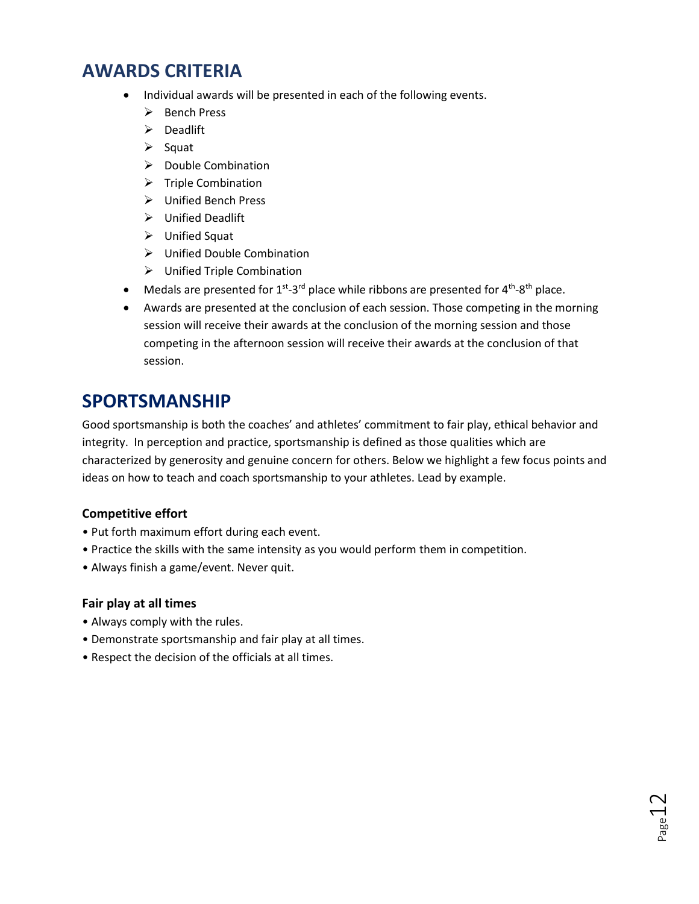# **AWARDS CRITERIA**

- Individual awards will be presented in each of the following events.
	- ➢ Bench Press
	- ➢ Deadlift
	- ➢ Squat
	- ➢ Double Combination
	- ➢ Triple Combination
	- ➢ Unified Bench Press
	- ➢ Unified Deadlift
	- ➢ Unified Squat
	- ➢ Unified Double Combination
	- ➢ Unified Triple Combination
- Medals are presented for  $1^{st}$ -3<sup>rd</sup> place while ribbons are presented for 4<sup>th</sup>-8<sup>th</sup> place.
- Awards are presented at the conclusion of each session. Those competing in the morning session will receive their awards at the conclusion of the morning session and those competing in the afternoon session will receive their awards at the conclusion of that session.

# **SPORTSMANSHIP**

Good sportsmanship is both the coaches' and athletes' commitment to fair play, ethical behavior and integrity. In perception and practice, sportsmanship is defined as those qualities which are characterized by generosity and genuine concern for others. Below we highlight a few focus points and ideas on how to teach and coach sportsmanship to your athletes. Lead by example.

### **Competitive effort**

- Put forth maximum effort during each event.
- Practice the skills with the same intensity as you would perform them in competition.
- Always finish a game/event. Never quit.

### **Fair play at all times**

- Always comply with the rules.
- Demonstrate sportsmanship and fair play at all times.
- Respect the decision of the officials at all times.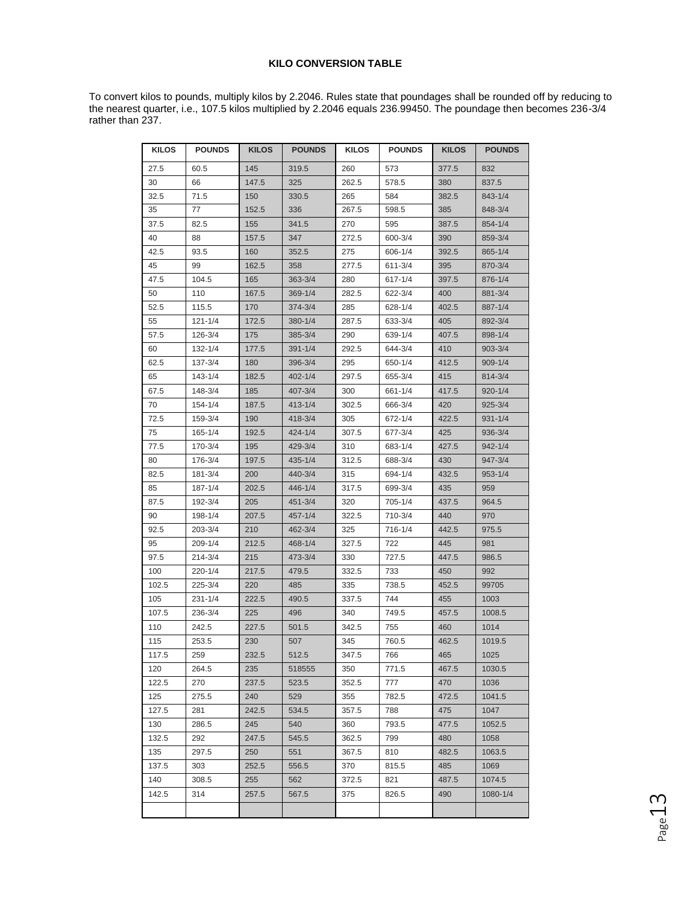#### **KILO CONVERSION TABLE**

To convert kilos to pounds, multiply kilos by 2.2046. Rules state that poundages shall be rounded off by reducing to the nearest quarter, i.e., 107.5 kilos multiplied by 2.2046 equals 236.99450. The poundage then becomes 236-3/4 rather than 237.

| <b>KILOS</b> | <b>POUNDS</b> | <b>KILOS</b> | <b>POUNDS</b> | <b>KILOS</b> | <b>POUNDS</b> | <b>KILOS</b> | <b>POUNDS</b> |
|--------------|---------------|--------------|---------------|--------------|---------------|--------------|---------------|
| 27.5         | 60.5          | 145          | 319.5         | 260          | 573           | 377.5        | 832           |
| 30           | 66            | 147.5        | 325           | 262.5        | 578.5         | 380          | 837.5         |
| 32.5         | 71.5          | 150          | 330.5         | 265          | 584           | 382.5        | 843-1/4       |
| 35           | 77            | 152.5        | 336           | 267.5        | 598.5         | 385          | 848-3/4       |
| 37.5         | 82.5          | 155          | 341.5         | 270          | 595           | 387.5        | 854-1/4       |
| 40           | 88            | 157.5        | 347           | 272.5        | 600-3/4       | 390          | 859-3/4       |
| 42.5         | 93.5          | 160          | 352.5         | 275          | 606-1/4       | 392.5        | 865-1/4       |
| 45           | 99            | 162.5        | 358           | 277.5        | 611-3/4       | 395          | 870-3/4       |
| 47.5         | 104.5         | 165          | $363 - 3/4$   | 280          | 617-1/4       | 397.5        | 876-1/4       |
| 50           | 110           | 167.5        | 369-1/4       | 282.5        | 622-3/4       | 400          | 881-3/4       |
| 52.5         | 115.5         | 170          | 374-3/4       | 285          | 628-1/4       | 402.5        | 887-1/4       |
| 55           | $121 - 1/4$   | 172.5        | 380-1/4       | 287.5        | 633-3/4       | 405          | 892-3/4       |
| 57.5         | 126-3/4       | 175          | 385-3/4       | 290          | 639-1/4       | 407.5        | 898-1/4       |
| 60           | 132-1/4       | 177.5        | $391 - 1/4$   | 292.5        | 644-3/4       | 410          | $903 - 3/4$   |
| 62.5         | 137-3/4       | 180          | 396-3/4       | 295          | 650-1/4       | 412.5        | $909 - 1/4$   |
| 65           | $143 - 1/4$   | 182.5        | $402 - 1/4$   | 297.5        | 655-3/4       | 415          | 814-3/4       |
| 67.5         | 148-3/4       | 185          | $407 - 3/4$   | 300          | 661-1/4       | 417.5        | $920 - 1/4$   |
| 70           | $154 - 1/4$   | 187.5        | $413 - 1/4$   | 302.5        | 666-3/4       | 420          | $925 - 3/4$   |
| 72.5         | 159-3/4       | 190          | $418 - 3/4$   | 305          | 672-1/4       | 422.5        | $931 - 1/4$   |
| 75           | 165-1/4       | 192.5        | 424-1/4       | 307.5        | 677-3/4       | 425          | $936 - 3/4$   |
| 77.5         | 170-3/4       | 195          | 429-3/4       | 310          | 683-1/4       | 427.5        | $942 - 1/4$   |
| 80           | 176-3/4       | 197.5        | 435-1/4       | 312.5        | 688-3/4       | 430          | 947-3/4       |
| 82.5         | 181-3/4       | 200          | 440-3/4       | 315          | 694-1/4       | 432.5        | $953 - 1/4$   |
| 85           | 187-1/4       | 202.5        | 446-1/4       | 317.5        | 699-3/4       | 435          | 959           |
| 87.5         | 192-3/4       | 205          | $451 - 3/4$   | 320          | 705-1/4       | 437.5        | 964.5         |
| 90           | 198-1/4       | 207.5        | $457 - 1/4$   | 322.5        | 710-3/4       | 440          | 970           |
| 92.5         | 203-3/4       | 210          | 462-3/4       | 325          | 716-1/4       | 442.5        | 975.5         |
| 95           | 209-1/4       | 212.5        | 468-1/4       | 327.5        | 722           | 445          | 981           |
| 97.5         | 214-3/4       | 215          | 473-3/4       | 330          | 727.5         | 447.5        | 986.5         |
| 100          | $220 - 1/4$   | 217.5        | 479.5         | 332.5        | 733           | 450          | 992           |
| 102.5        | 225-3/4       | 220          | 485           | 335          | 738.5         | 452.5        | 99705         |
| 105          | $231 - 1/4$   | 222.5        | 490.5         | 337.5        | 744           | 455          | 1003          |
| 107.5        | 236-3/4       | 225          | 496           | 340          | 749.5         | 457.5        | 1008.5        |
| 110          | 242.5         | 227.5        | 501.5         | 342.5        | 755           | 460          | 1014          |
| 115          | 253.5         | 230          | 507           | 345          | 760.5         | 462.5        | 1019.5        |
| 117.5        | 259           | 232.5        | 512.5         | 347.5        | 766           | 465          | 1025          |
| 120          | 264.5         | 235          | 518555        | 350          | 771.5         | 467.5        | 1030.5        |
| 122.5        | 270           | 237.5        | 523.5         | 352.5        | 777           | 470          | 1036          |
| 125          | 275.5         | 240          | 529           | 355          | 782.5         | 472.5        | 1041.5        |
| 127.5        | 281           | 242.5        | 534.5         | 357.5        | 788           | 475          | 1047          |
| 130          | 286.5         | 245          | 540           | 360          | 793.5         | 477.5        | 1052.5        |
| 132.5        | 292           | 247.5        | 545.5         | 362.5        | 799           | 480          | 1058          |
| 135          | 297.5         | 250          | 551           | 367.5        | 810           | 482.5        | 1063.5        |
| 137.5        | 303           | 252.5        | 556.5         | 370          | 815.5         | 485          | 1069          |
| 140          | 308.5         | 255          | 562           | 372.5        | 821           | 487.5        | 1074.5        |
| 142.5        | 314           | 257.5        | 567.5         | 375          | 826.5         | 490          | 1080-1/4      |
|              |               |              |               |              |               |              |               |

Page13